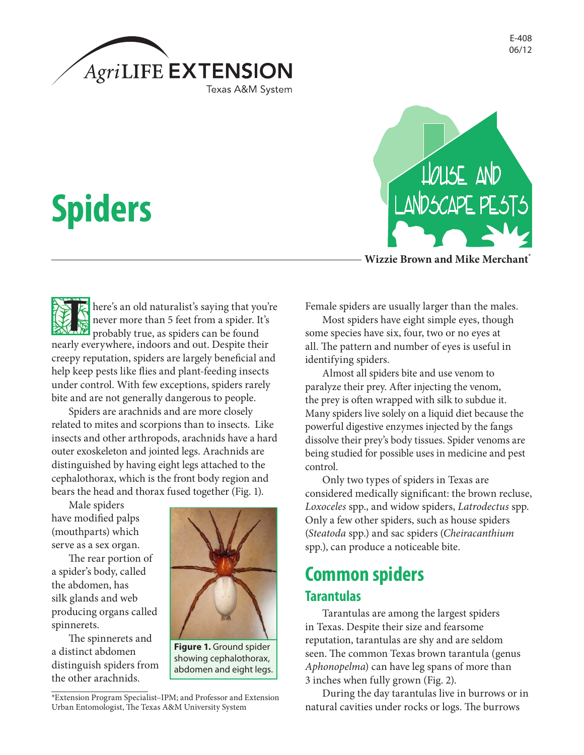

# **Spiders**

EL E here's an old naturalist's saying that you're never more than 5 feet from a spider. It's probably true, as spiders can be found nearly everywhere, indoors and out. Despite their creepy reputation, spiders are largely beneficial and help keep pests like flies and plant-feeding insects under control. With few exceptions, spiders rarely bite and are not generally dangerous to people.

Spiders are arachnids and are more closely related to mites and scorpions than to insects. Like insects and other arthropods, arachnids have a hard outer exoskeleton and jointed legs. Arachnids are distinguished by having eight legs attached to the cephalothorax, which is the front body region and bears the head and thorax fused together (Fig. 1).

Male spiders have modified palps (mouthparts) which serve as a sex organ.

The rear portion of a spider's body, called the abdomen, has silk glands and web producing organs called spinnerets.

The spinnerets and a distinct abdomen distinguish spiders from the other arachnids.



**Figure 1.** Ground spider showing cephalothorax, abdomen and eight legs.



**Wizzie Brown and Mike Merchant\***

Female spiders are usually larger than the males.

Most spiders have eight simple eyes, though some species have six, four, two or no eyes at all. The pattern and number of eyes is useful in identifying spiders.

Almost all spiders bite and use venom to paralyze their prey. After injecting the venom, the prey is often wrapped with silk to subdue it. Many spiders live solely on a liquid diet because the powerful digestive enzymes injected by the fangs dissolve their prey's body tissues. Spider venoms are being studied for possible uses in medicine and pest control.

Only two types of spiders in Texas are considered medically significant: the brown recluse, *Loxoceles* spp., and widow spiders, *Latrodectus* spp. Only a few other spiders, such as house spiders (*Steatoda* spp.) and sac spiders (*Cheiracanthium* spp.), can produce a noticeable bite.

### **Common spiders Tarantulas**

Tarantulas are among the largest spiders in Texas. Despite their size and fearsome reputation, tarantulas are shy and are seldom seen. The common Texas brown tarantula (genus *Aphonopelma*) can have leg spans of more than 3 inches when fully grown (Fig. 2).

During the day tarantulas live in burrows or in natural cavities under rocks or logs. The burrows

<sup>\*</sup>Extension Program Specialist–IPM; and Professor and Extension Urban Entomologist, The Texas A&M University System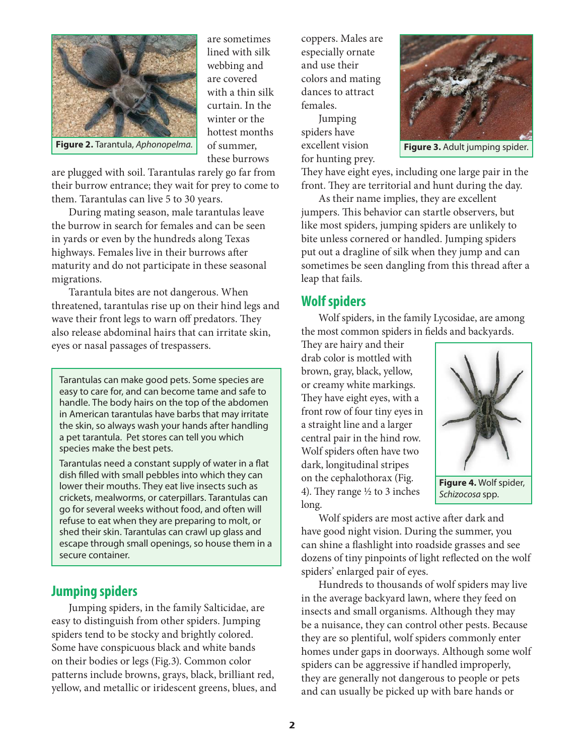

are sometimes lined with silk webbing and are covered with a thin silk curtain. In the winter or the hottest months of summer, these burrows

**Figure 2.** Tarantula, *Aphonopelma.* of summer, excellent vision **Figure 3.** Adult jumping spider.

are plugged with soil. Tarantulas rarely go far from their burrow entrance; they wait for prey to come to them. Tarantulas can live 5 to 30 years.

During mating season, male tarantulas leave the burrow in search for females and can be seen in yards or even by the hundreds along Texas highways. Females live in their burrows after maturity and do not participate in these seasonal migrations.

Tarantula bites are not dangerous. When threatened, tarantulas rise up on their hind legs and wave their front legs to warn off predators. They also release abdominal hairs that can irritate skin, eyes or nasal passages of trespassers.

Tarantulas can make good pets. Some species are easy to care for, and can become tame and safe to handle. The body hairs on the top of the abdomen in American tarantulas have barbs that may irritate the skin, so always wash your hands after handling a pet tarantula. Pet stores can tell you which species make the best pets.

Tarantulas need a constant supply of water in a flat dish filled with small pebbles into which they can lower their mouths. They eat live insects such as crickets, mealworms, or caterpillars. Tarantulas can go for several weeks without food, and often will refuse to eat when they are preparing to molt, or shed their skin. Tarantulas can crawl up glass and escape through small openings, so house them in a secure container.

#### **Jumping spiders**

Jumping spiders, in the family Salticidae, are easy to distinguish from other spiders. Jumping spiders tend to be stocky and brightly colored. Some have conspicuous black and white bands on their bodies or legs (Fig.3). Common color patterns include browns, grays, black, brilliant red, yellow, and metallic or iridescent greens, blues, and coppers. Males are especially ornate and use their colors and mating dances to attract females.

Jumping spiders have excellent vision for hunting prey.



They have eight eyes, including one large pair in the front. They are territorial and hunt during the day.

As their name implies, they are excellent jumpers. This behavior can startle observers, but like most spiders, jumping spiders are unlikely to bite unless cornered or handled. Jumping spiders put out a dragline of silk when they jump and can sometimes be seen dangling from this thread after a leap that fails.

#### **Wolf spiders**

Wolf spiders, in the family Lycosidae, are among the most common spiders in fields and backyards.

They are hairy and their drab color is mottled with brown, gray, black, yellow, or creamy white markings. They have eight eyes, with a front row of four tiny eyes in a straight line and a larger central pair in the hind row. Wolf spiders often have two dark, longitudinal stripes on the cephalothorax (Fig. 4). They range ½ to 3 inches long.



**Figure 4.** Wolf spider, *Schizocosa* spp.

Wolf spiders are most active after dark and have good night vision. During the summer, you can shine a flashlight into roadside grasses and see dozens of tiny pinpoints of light reflected on the wolf spiders' enlarged pair of eyes.

Hundreds to thousands of wolf spiders may live in the average backyard lawn, where they feed on insects and small organisms. Although they may be a nuisance, they can control other pests. Because they are so plentiful, wolf spiders commonly enter homes under gaps in doorways. Although some wolf spiders can be aggressive if handled improperly, they are generally not dangerous to people or pets and can usually be picked up with bare hands or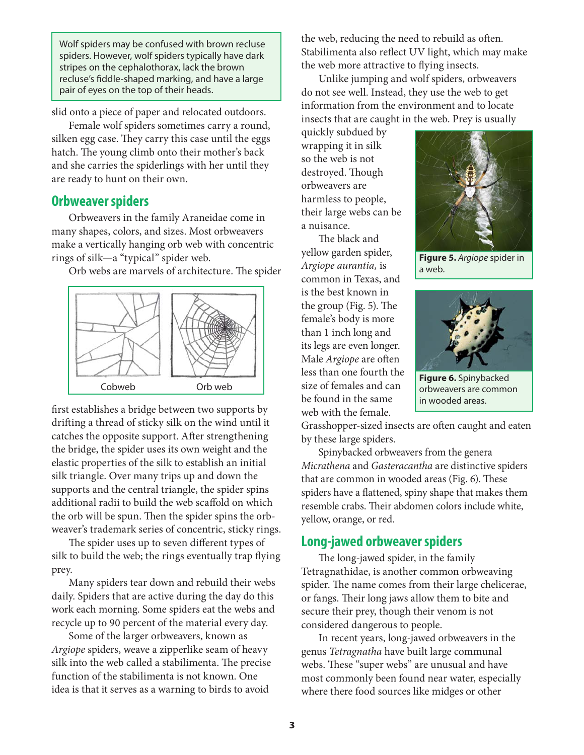Wolf spiders may be confused with brown recluse spiders. However, wolf spiders typically have dark stripes on the cephalothorax, lack the brown recluse's fiddle-shaped marking, and have a large pair of eyes on the top of their heads.

slid onto a piece of paper and relocated outdoors.

Female wolf spiders sometimes carry a round, silken egg case. They carry this case until the eggs hatch. The young climb onto their mother's back and she carries the spiderlings with her until they are ready to hunt on their own.

#### **Orbweaver spiders**

Orbweavers in the family Araneidae come in many shapes, colors, and sizes. Most orbweavers make a vertically hanging orb web with concentric rings of silk—a "typical" spider web.

Orb webs are marvels of architecture. The spider



first establishes a bridge between two supports by drifting a thread of sticky silk on the wind until it catches the opposite support. After strengthening the bridge, the spider uses its own weight and the elastic properties of the silk to establish an initial silk triangle. Over many trips up and down the supports and the central triangle, the spider spins additional radii to build the web scaffold on which the orb will be spun. Then the spider spins the orbweaver's trademark series of concentric, sticky rings.

The spider uses up to seven different types of silk to build the web; the rings eventually trap flying prey.

Many spiders tear down and rebuild their webs daily. Spiders that are active during the day do this work each morning. Some spiders eat the webs and recycle up to 90 percent of the material every day.

Some of the larger orbweavers, known as *Argiope* spiders, weave a zipperlike seam of heavy silk into the web called a stabilimenta. The precise function of the stabilimenta is not known. One idea is that it serves as a warning to birds to avoid

the web, reducing the need to rebuild as often. Stabilimenta also reflect UV light, which may make the web more attractive to flying insects.

Unlike jumping and wolf spiders, orbweavers do not see well. Instead, they use the web to get information from the environment and to locate insects that are caught in the web. Prey is usually

quickly subdued by wrapping it in silk so the web is not destroyed. Though orbweavers are harmless to people, their large webs can be a nuisance.

The black and yellow garden spider, *Argiope aurantia,* is common in Texas, and is the best known in the group (Fig. 5). The female's body is more than 1 inch long and its legs are even longer. Male *Argiope* are often less than one fourth the size of females and can be found in the same web with the female.



**Figure 5.** *Argiope* spider in a web.



**Figure 6.** Spinybacked orbweavers are common in wooded areas.

Grasshopper-sized insects are often caught and eaten by these large spiders.

Spinybacked orbweavers from the genera *Micrathena* and *Gasteracantha* are distinctive spiders that are common in wooded areas (Fig. 6). These spiders have a flattened, spiny shape that makes them resemble crabs. Their abdomen colors include white, yellow, orange, or red.

#### **Long-jawed orbweaver spiders**

The long-jawed spider, in the family Tetragnathidae, is another common orbweaving spider. The name comes from their large chelicerae, or fangs. Their long jaws allow them to bite and secure their prey, though their venom is not considered dangerous to people.

In recent years, long-jawed orbweavers in the genus *Tetragnatha* have built large communal webs. These "super webs" are unusual and have most commonly been found near water, especially where there food sources like midges or other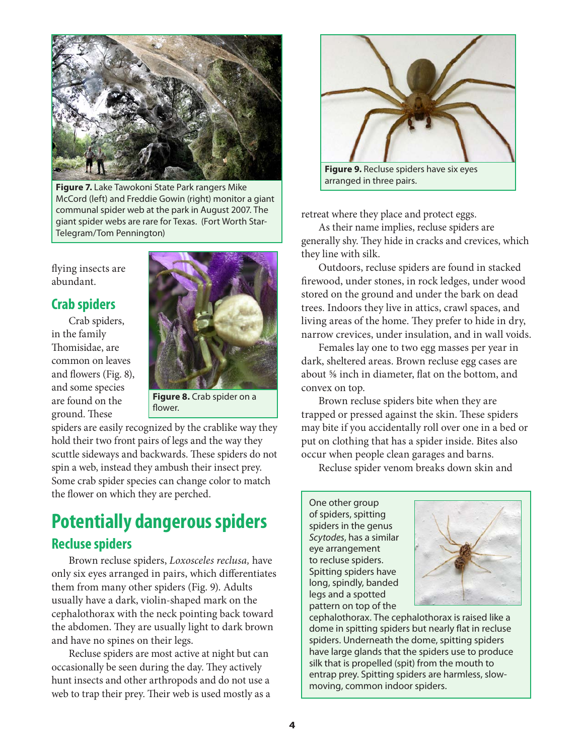

**Figure 7.** Lake Tawokoni State Park rangers Mike McCord (left) and Freddie Gowin (right) monitor a giant communal spider web at the park in August 2007. The giant spider webs are rare for Texas. (Fort Worth Star-Telegram/Tom Pennington)

flying insects are abundant.

#### **Crab spiders**

Crab spiders, in the family Thomisidae, are common on leaves and flowers (Fig. 8), and some species are found on the ground. These



**Figure 8.** Crab spider on a flower.

spiders are easily recognized by the crablike way they hold their two front pairs of legs and the way they scuttle sideways and backwards. These spiders do not spin a web, instead they ambush their insect prey. Some crab spider species can change color to match the flower on which they are perched.

## **Potentially dangerous spiders Recluse spiders**

Brown recluse spiders, *Loxosceles reclusa,* have only six eyes arranged in pairs, which differentiates them from many other spiders (Fig. 9). Adults usually have a dark, violin-shaped mark on the cephalothorax with the neck pointing back toward the abdomen. They are usually light to dark brown and have no spines on their legs.

Recluse spiders are most active at night but can occasionally be seen during the day. They actively hunt insects and other arthropods and do not use a web to trap their prey. Their web is used mostly as a



retreat where they place and protect eggs.

As their name implies, recluse spiders are generally shy. They hide in cracks and crevices, which they line with silk.

Outdoors, recluse spiders are found in stacked firewood, under stones, in rock ledges, under wood stored on the ground and under the bark on dead trees. Indoors they live in attics, crawl spaces, and living areas of the home. They prefer to hide in dry, narrow crevices, under insulation, and in wall voids.

Females lay one to two egg masses per year in dark, sheltered areas. Brown recluse egg cases are about ⅝ inch in diameter, flat on the bottom, and convex on top.

Brown recluse spiders bite when they are trapped or pressed against the skin. These spiders may bite if you accidentally roll over one in a bed or put on clothing that has a spider inside. Bites also occur when people clean garages and barns.

Recluse spider venom breaks down skin and

One other group of spiders, spitting spiders in the genus *Scytodes*, has a similar eye arrangement to recluse spiders. Spitting spiders have long, spindly, banded legs and a spotted pattern on top of the



cephalothorax. The cephalothorax is raised like a dome in spitting spiders but nearly flat in recluse spiders. Underneath the dome, spitting spiders have large glands that the spiders use to produce silk that is propelled (spit) from the mouth to entrap prey. Spitting spiders are harmless, slowmoving, common indoor spiders.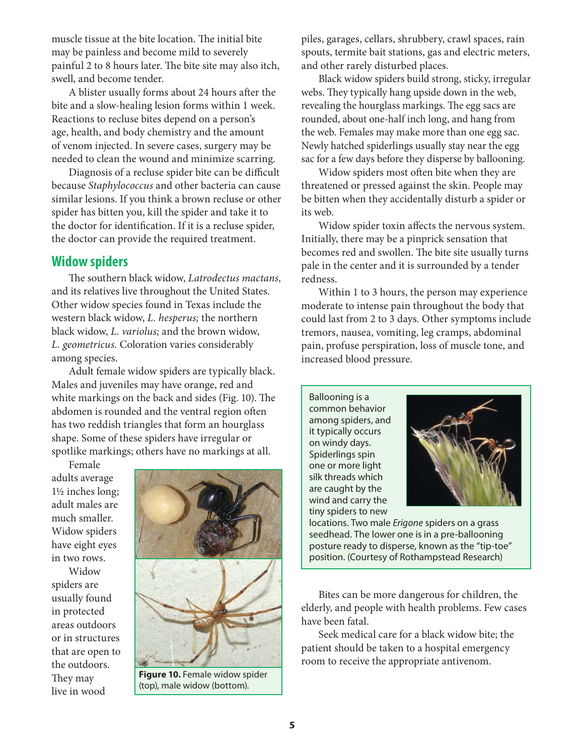muscle tissue at the bite location. The initial bite may be painless and become mild to severely painful 2 to 8 hours later. The bite site may also itch, swell, and become tender.

A blister usually forms about 24 hours after the bite and a slow-healing lesion forms within 1 week. Reactions to recluse bites depend on a person's age, health, and body chemistry and the amount of venom injected. In severe cases, surgery may be needed to clean the wound and minimize scarring.

Diagnosis of a recluse spider bite can be difficult because *Staphylococcus* and other bacteria can cause similar lesions. If you think a brown recluse or other spider has bitten you, kill the spider and take it to the doctor for identification. If it is a recluse spider, the doctor can provide the required treatment.

#### **Widow spiders**

The southern black widow, *Latrodectus mactans,*  and its relatives live throughout the United States. Other widow species found in Texas include the western black widow, *L. hesperus;* the northern black widow, *L. variolus;* and the brown widow, *L. geometricus.* Coloration varies considerably among species.

Adult female widow spiders are typically black. Males and juveniles may have orange, red and white markings on the back and sides (Fig. 10). The abdomen is rounded and the ventral region often has two reddish triangles that form an hourglass shape. Some of these spiders have irregular or spotlike markings; others have no markings at all.

Female adults average 1½ inches long; adult males are much smaller. Widow spiders have eight eyes in two rows.

Widow spiders are usually found in protected areas outdoors or in structures that are open to the outdoors. They may live in wood



**Figure 10.** Female widow spider (top), male widow (bottom).

piles, garages, cellars, shrubbery, crawl spaces, rain spouts, termite bait stations, gas and electric meters, and other rarely disturbed places.

Black widow spiders build strong, sticky, irregular webs. They typically hang upside down in the web, revealing the hourglass markings. The egg sacs are rounded, about one-half inch long, and hang from the web. Females may make more than one egg sac. Newly hatched spiderlings usually stay near the egg sac for a few days before they disperse by ballooning.

Widow spiders most often bite when they are threatened or pressed against the skin. People may be bitten when they accidentally disturb a spider or its web.

Widow spider toxin affects the nervous system. Initially, there may be a pinprick sensation that becomes red and swollen. The bite site usually turns pale in the center and it is surrounded by a tender redness.

Within 1 to 3 hours, the person may experience moderate to intense pain throughout the body that could last from 2 to 3 days. Other symptoms include tremors, nausea, vomiting, leg cramps, abdominal pain, profuse perspiration, loss of muscle tone, and increased blood pressure.

Ballooning is a common behavior among spiders, and it typically occurs on windy days. Spiderlings spin one or more light silk threads which are caught by the wind and carry the tiny spiders to new



locations. Two male *Erigone* spiders on a grass seedhead. The lower one is in a pre-ballooning posture ready to disperse, known as the "tip-toe" position. (Courtesy of Rothampstead Research)

Bites can be more dangerous for children, the elderly, and people with health problems. Few cases have been fatal.

Seek medical care for a black widow bite; the patient should be taken to a hospital emergency room to receive the appropriate antivenom.